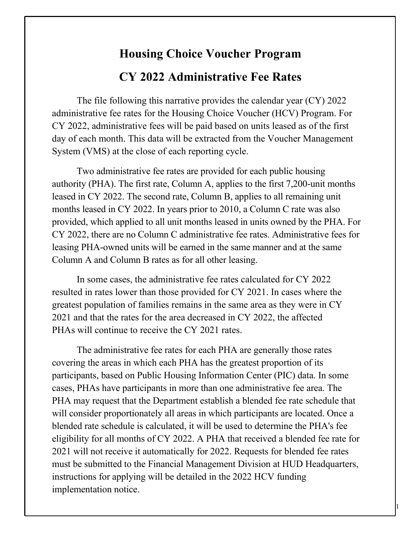## **Housing Choice Voucher Program CY 2022 Administrative Fee Rates**

The file following this narrative provides the calendar year (CY) 2022 administrative fee rates for the Housing Choice Voucher (HCV) Program. For CY 2022, administrative fees will be paid based on units leased as of the first day of each month. This data will be extracted from the Voucher Management System (VMS) at the close of each reporting cycle.

Two administrative fee rates are provided for each public housing authority (PHA). The first rate, Column A, applies to the first 7,200-unit months leased in CY 2022. The second rate, Column B, applies to all remaining unit months leased in CY 2022. In years prior to 2010, a Column C rate was also provided, which applied to all unit months leased in units owned by the PHA. For CY 2022, there are no Column C administrative fee rates. Administrative fees for leasing PHA-owned units will be earned in the same manner and at the same Column A and Column B rates as for all other leasing.

In some cases, the administrative fee rates calculated for CY 2022 resulted in rates lower than those provided for CY 2021. In cases where the greatest population of families remains in the same area as they were in CY 2021 and that the rates for the area decreased in CY 2022, the affected PHAs will continue to receive the CY 2021 rates.

The administrative fee rates for each PHA are generally those rates covering the areas in which each PHA has the greatest proportion of its participants, based on Public Housing Information Center (PIC) data. In some cases, PHAs have participants in more than one administrative fee area. The PHA may request that the Department establish a blended fee rate schedule that will consider proportionately all areas in which participants are located. Once a blended rate schedule is calculated, it will be used to determine the PHA's fee eligibility for all months of CY 2022. A PHA that received a blended fee rate for 2021 will not receive it automatically for 2022. Requests for blended fee rates must be submitted to the Financial Management Division at HUD Headquarters, instructions for applying will be detailed in the 2022 HCV funding implementation notice.

1